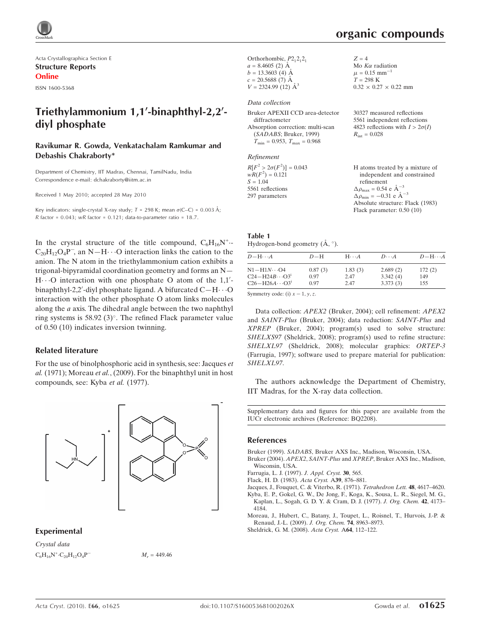

Acta Crystallographica Section E Structure Reports Online

ISSN 1600-5368

## Triethylammonium 1,1'-binaphthyl-2,2'diyl phosphate

#### Ravikumar R. Gowda, Venkatachalam Ramkumar and Debashis Chakraborty\*

Department of Chemistry, IIT Madras, Chennai, TamilNadu, India Correspondence e-mail: dchakraborty@iitm.ac.in

Received 1 May 2010; accepted 28 May 2010

Key indicators: single-crystal X-ray study;  $T = 298$  K; mean  $\sigma$ (C–C) = 0.003 Å;  $R$  factor = 0.043; w $R$  factor = 0.121; data-to-parameter ratio = 18.7.

In the crystal structure of the title compound,  $C_6H_{16}N^+$ .  $C_{20}H_{12}O_4P$ , an N-H $\cdot \cdot \cdot$ O interaction links the cation to the anion. The N atom in the triethylammonium cation exhibits a trigonal-bipyramidal coordination geometry and forms an N— H...O interaction with one phosphate O atom of the 1,1'binaphthyl-2,2'-diyl phosphate ligand. A bifurcated C-H $\cdots$ O interaction with the other phosphate O atom links molecules along the a axis. The dihedral angle between the two naphthyl ring systems is  $58.92$  (3)<sup>o</sup>. The refined Flack parameter value of 0.50 (10) indicates inversion twinning.

#### Related literature

For the use of binolphosphoric acid in synthesis, see: Jacques et al. (1971); Moreau et al., (2009). For the binaphthyl unit in host compounds, see: Kyba et al. (1977).



#### Experimental

Crystal data  $C_6H_{16}N^+ \cdot C_{20}H_{12}O_4P^ M_r = 449.46$ 

Orthorhombic,  $P2,2,2$  $a = 8.4605$  (2) Å  $b = 13.3603$  (4) Å  $c = 20.5688(7)$  Å  $V = 2324.99(12)$   $\AA^3$ 

#### Data collection

| Bruker APEXII CCD area-detector                     |
|-----------------------------------------------------|
| diffractometer                                      |
| Absorption correction: multi-scan                   |
| (SADABS; Bruker, 1999)                              |
| $T_{\text{min}} = 0.953$ , $T_{\text{max}} = 0.968$ |

#### Refinement

| $R[F^2 > 2\sigma(F^2)] = 0.043$ | H atoms treated by a mixture of                    |
|---------------------------------|----------------------------------------------------|
| $wR(F^2) = 0.121$               | independent and constrained                        |
| $S = 1.04$                      | refinement                                         |
| 5561 reflections                | $\Delta \rho_{\text{max}} = 0.54 \text{ e A}^{-3}$ |
| 297 parameters                  | $\Delta \rho_{\text{min}} = -0.31$ e $\AA^{-3}$    |
|                                 | Absolute structure: Flack (1983)                   |

| Table 1                               |  |  |
|---------------------------------------|--|--|
| Hydrogen-bond geometry $(A, \circ)$ . |  |  |

| $D - H \cdots A$         | $D-H$   | $H\cdots A$ | $D\cdots A$ | $D - H \cdots A$ |
|--------------------------|---------|-------------|-------------|------------------|
| $N1 - H1N \cdots O4$     | 0.87(3) | 1.83(3)     | 2.689(2)    | 172(2)           |
| $C24 - H24B \cdots Q3^i$ | 0.97    | 2.47        | 3.342(4)    | 149              |
| $C26 - H26A \cdots Q3^i$ | 0.97    | 2.47        | 3.373(3)    | 155              |

Symmetry code: (i)  $x - 1$ , y, z.

Data collection: APEX2 (Bruker, 2004); cell refinement: APEX2 and SAINT-Plus (Bruker, 2004); data reduction: SAINT-Plus and XPREP (Bruker, 2004); program(s) used to solve structure: SHELXS97 (Sheldrick, 2008); program(s) used to refine structure: SHELXL97 (Sheldrick, 2008); molecular graphics: ORTEP-3 (Farrugia, 1997); software used to prepare material for publication: SHELXL97.

The authors acknowledge the Department of Chemistry, IIT Madras, for the X-ray data collection.

Supplementary data and figures for this paper are available from the IUCr electronic archives (Reference: BQ2208).

#### References

Bruker (1999). SADABS[, Bruker AXS Inc., Madison, Wisconsin, USA.](http://scripts.iucr.org/cgi-bin/cr.cgi?rm=pdfbb&cnor=bq2208&bbid=BB1)

- Bruker (2004). APEX2, SAINT-Plus and XPREP[, Bruker AXS Inc., Madison,](http://scripts.iucr.org/cgi-bin/cr.cgi?rm=pdfbb&cnor=bq2208&bbid=BB2) [Wisconsin, USA.](http://scripts.iucr.org/cgi-bin/cr.cgi?rm=pdfbb&cnor=bq2208&bbid=BB2)
- [Farrugia, L. J. \(1997\).](http://scripts.iucr.org/cgi-bin/cr.cgi?rm=pdfbb&cnor=bq2208&bbid=BB3) J. Appl. Cryst. 30, 565.

[Flack, H. D. \(1983\).](http://scripts.iucr.org/cgi-bin/cr.cgi?rm=pdfbb&cnor=bq2208&bbid=BB4) Acta Cryst. A39, 876–881.

[Jacques, J., Fouquet, C. & Viterbo, R. \(1971\).](http://scripts.iucr.org/cgi-bin/cr.cgi?rm=pdfbb&cnor=bq2208&bbid=BB5) Tetrahedron Lett. 48, 4617–4620.

[Kyba, E. P., Gokel, G. W., De Jong, F., Koga, K., Sousa, L. R., Siegel, M. G.,](http://scripts.iucr.org/cgi-bin/cr.cgi?rm=pdfbb&cnor=bq2208&bbid=BB6) [Kaplan, L., Sogah, G. D. Y. & Cram, D. J. \(1977\).](http://scripts.iucr.org/cgi-bin/cr.cgi?rm=pdfbb&cnor=bq2208&bbid=BB6) J. Org. Chem. 42, 4173– [4184.](http://scripts.iucr.org/cgi-bin/cr.cgi?rm=pdfbb&cnor=bq2208&bbid=BB6)

[Moreau, J., Hubert, C., Batany, J., Toupet, L., Roisnel, T., Hurvois, J.-P. &](http://scripts.iucr.org/cgi-bin/cr.cgi?rm=pdfbb&cnor=bq2208&bbid=BB7) [Renaud, J.-L. \(2009\).](http://scripts.iucr.org/cgi-bin/cr.cgi?rm=pdfbb&cnor=bq2208&bbid=BB7) J. Org. Chem. 74, 8963–8973.

[Sheldrick, G. M. \(2008\).](http://scripts.iucr.org/cgi-bin/cr.cgi?rm=pdfbb&cnor=bq2208&bbid=BB8) Acta Cryst. A64, 112–122.

# organic compounds

 $Z = 4$ 

Mo  $K\alpha$  radiation  $\mu = 0.15$  mm<sup>-1</sup>  $T = 298 \text{ K}$ 

 $R_{\text{int}} = 0.028$ 

 $0.32 \times 0.27 \times 0.22$  mm

30327 measured reflections 5561 independent reflections 4823 reflections with  $I > 2\sigma(I)$ 

Flack parameter: 0.50 (10)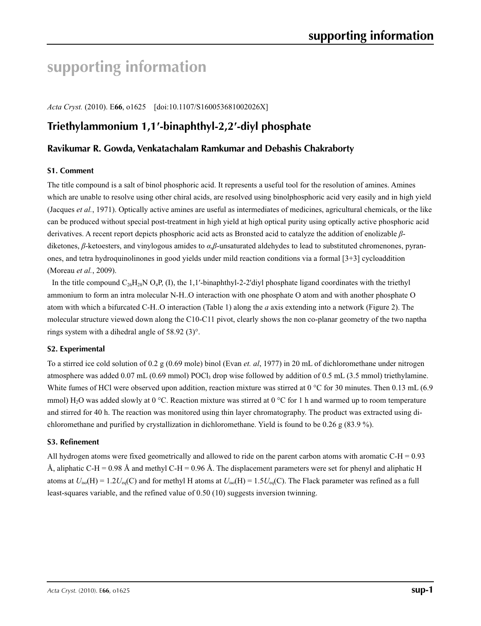# **supporting information**

*Acta Cryst.* (2010). E**66**, o1625 [doi:10.1107/S160053681002026X]

## **Triethylammonium 1,1′-binaphthyl-2,2′-diyl phosphate**

### **Ravikumar R. Gowda, Venkatachalam Ramkumar and Debashis Chakraborty**

#### **S1. Comment**

The title compound is a salt of binol phosphoric acid. It represents a useful tool for the resolution of amines. Amines which are unable to resolve using other chiral acids, are resolved using binolphosphoric acid very easily and in high yield (Jacques *et al.*, 1971). Optically active amines are useful as intermediates of medicines, agricultural chemicals, or the like can be produced without special post-treatment in high yield at high optical purity using optically active phosphoric acid derivatives. A recent report depicts phosphoric acid acts as Bronsted acid to catalyze the addition of enolizable *β*diketones, *β*-ketoesters, and vinylogous amides to *α*,*β*-unsaturated aldehydes to lead to substituted chromenones, pyranones, and tetra hydroquinolinones in good yields under mild reaction conditions via a formal [3+3] cycloaddition (Moreau *et al.*, 2009).

In the title compound  $C_{26}H_{28}N$  O<sub>4</sub>P, (I), the 1,1'-binaphthyl-2-2'diyl phosphate ligand coordinates with the triethyl ammonium to form an intra molecular N-H..O interaction with one phosphate O atom and with another phosphate O atom with which a bifurcated C-H..O interaction (Table 1) along the *a* axis extending into a network (Figure 2). The molecular structure viewed down along the C10-C11 pivot, clearly shows the non co-planar geometry of the two naptha rings system with a dihedral angle of 58.92 (3)°.

#### **S2. Experimental**

To a stirred ice cold solution of 0.2 g (0.69 mole) binol (Evan *et. al*, 1977) in 20 mL of dichloromethane under nitrogen atmosphere was added 0.07 mL (0.69 mmol) POCl<sub>3</sub> drop wise followed by addition of 0.5 mL (3.5 mmol) triethylamine. White fumes of HCl were observed upon addition, reaction mixture was stirred at 0  $^{\circ}$ C for 30 minutes. Then 0.13 mL (6.9) mmol) H<sub>2</sub>O was added slowly at 0 °C. Reaction mixture was stirred at 0 °C for 1 h and warmed up to room temperature and stirred for 40 h. The reaction was monitored using thin layer chromatography. The product was extracted using dichloromethane and purified by crystallization in dichloromethane. Yield is found to be 0.26 g (83.9 %).

#### **S3. Refinement**

All hydrogen atoms were fixed geometrically and allowed to ride on the parent carbon atoms with aromatic  $C-H = 0.93$ Å, aliphatic C-H = 0.98 Å and methyl C-H = 0.96 Å. The displacement parameters were set for phenyl and aliphatic H atoms at  $U_{iso}(H) = 1.2 U_{eq}(C)$  and for methyl H atoms at  $U_{iso}(H) = 1.5 U_{eq}(C)$ . The Flack parameter was refined as a full least-squares variable, and the refined value of 0.50 (10) suggests inversion twinning.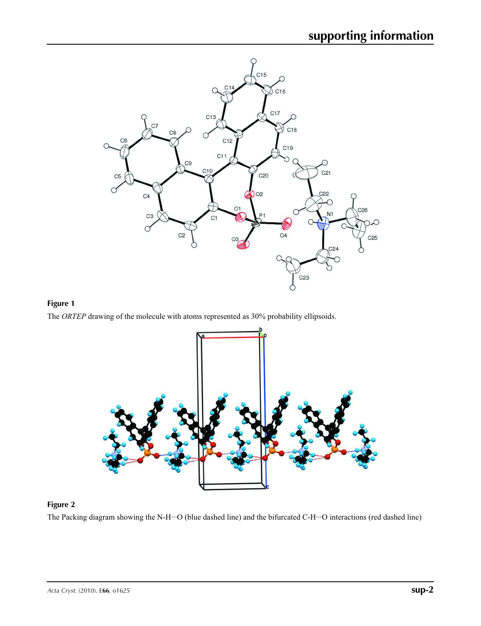





## **Figure 2**

The Packing diagram showing the N-H···O (blue dashed line) and the bifurcated C-H···O interactions (red dashed line)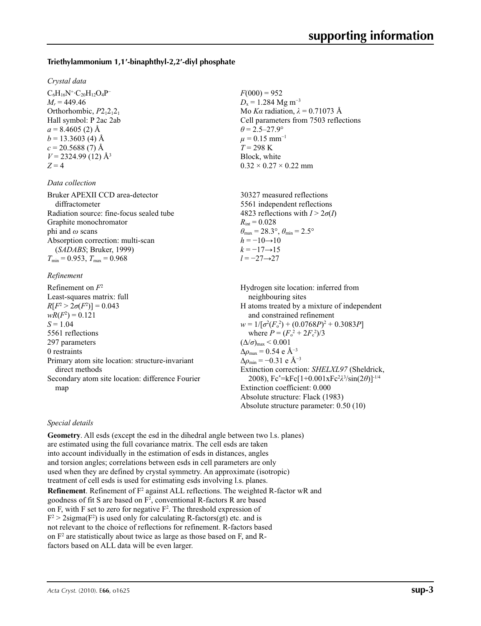#### **Triethylammonium 1,1′-binaphthyl-2,2′-diyl phosphate**

#### *Crystal data*

 $C_6H_{16}N^+$ · $C_{20}H_{12}O_4P^ M_r = 449.46$ Orthorhombic,  $P2_12_12_1$ Hall symbol: P 2ac 2ab  $a = 8.4605(2)$  Å  $b = 13.3603$  (4) Å  $c = 20.5688(7)$  Å  $V = 2324.99$  (12) Å<sup>3</sup>  $Z = 4$ 

#### *Data collection*

Bruker APEXII CCD area-detector diffractometer Radiation source: fine-focus sealed tube Graphite monochromator phi and *ω* scans Absorption correction: multi-scan (*SADABS*; Bruker, 1999)  $T_{\text{min}} = 0.953$ ,  $T_{\text{max}} = 0.968$ 

#### *Refinement*

Refinement on *F*<sup>2</sup> Least-squares matrix: full *R*[ $F^2 > 2\sigma(F^2)$ ] = 0.043  $wR(F^2) = 0.121$  $S = 1.04$ 5561 reflections 297 parameters 0 restraints Primary atom site location: structure-invariant direct methods Secondary atom site location: difference Fourier map

 $F(000) = 952$  $D_x = 1.284$  Mg m<sup>-3</sup> Mo *Kα* radiation, *λ* = 0.71073 Å Cell parameters from 7503 reflections  $\theta$  = 2.5–27.9°  $\mu$  = 0.15 mm<sup>-1</sup> *T* = 298 K Block, white  $0.32 \times 0.27 \times 0.22$  mm

30327 measured reflections 5561 independent reflections 4823 reflections with  $I > 2\sigma(I)$  $R_{\text{int}} = 0.028$  $\theta_{\text{max}} = 28.3^{\circ}, \theta_{\text{min}} = 2.5^{\circ}$  $h = -10 \rightarrow 10$  $k = -17 \rightarrow 15$ *l* = −27→27

Hydrogen site location: inferred from neighbouring sites H atoms treated by a mixture of independent and constrained refinement  $w = 1/[\sigma^2 (F_o^2) + (0.0768P)^2 + 0.3083P]$ where  $P = (F_o^2 + 2F_c^2)/3$  $(\Delta/\sigma)_{\text{max}}$  < 0.001 Δ*ρ*max = 0.54 e Å−3  $\Delta \rho_{\rm min} = -0.31$  e Å<sup>-3</sup> Extinction correction: *SHELXL97* (Sheldrick, 2008), Fc\* =kFc[1+0.001xFc2 *λ*3 /sin(2*θ*)]-1/4 Extinction coefficient: 0.000 Absolute structure: Flack (1983) Absolute structure parameter: 0.50 (10)

#### *Special details*

**Geometry**. All esds (except the esd in the dihedral angle between two l.s. planes) are estimated using the full covariance matrix. The cell esds are taken into account individually in the estimation of esds in distances, angles and torsion angles; correlations between esds in cell parameters are only used when they are defined by crystal symmetry. An approximate (isotropic) treatment of cell esds is used for estimating esds involving l.s. planes. **Refinement**. Refinement of F<sup>2</sup> against ALL reflections. The weighted R-factor wR and goodness of fit S are based on  $F^2$ , conventional R-factors R are based on F, with F set to zero for negative  $F^2$ . The threshold expression of  $F^2 > 2$ sigma( $F^2$ ) is used only for calculating R-factors(gt) etc. and is not relevant to the choice of reflections for refinement. R-factors based on F2 are statistically about twice as large as those based on F, and Rfactors based on ALL data will be even larger.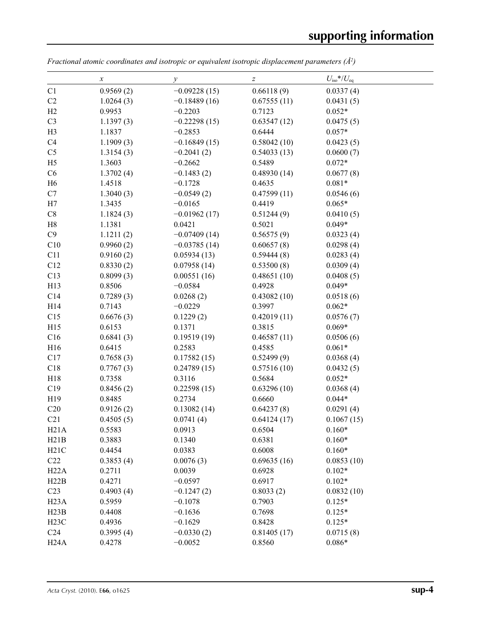$\overline{\phantom{0}}$ 

|                   | $\boldsymbol{\chi}$ | у              | $\boldsymbol{Z}$ | $U_{\rm iso}*/U_{\rm eq}$ |  |
|-------------------|---------------------|----------------|------------------|---------------------------|--|
| C1                | 0.9569(2)           | $-0.09228(15)$ | 0.66118(9)       | 0.0337(4)                 |  |
| C2                | 1.0264(3)           | $-0.18489(16)$ | 0.67555(11)      | 0.0431(5)                 |  |
| H2                | 0.9953              | $-0.2203$      | 0.7123           | $0.052*$                  |  |
| C <sub>3</sub>    | 1.1397(3)           | $-0.22298(15)$ | 0.63547(12)      | 0.0475(5)                 |  |
| H <sub>3</sub>    | 1.1837              | $-0.2853$      | 0.6444           | $0.057*$                  |  |
| C4                | 1.1909(3)           | $-0.16849(15)$ | 0.58042(10)      | 0.0423(5)                 |  |
| C <sub>5</sub>    | 1.3154(3)           | $-0.2041(2)$   | 0.54033(13)      | 0.0600(7)                 |  |
| H <sub>5</sub>    | 1.3603              | $-0.2662$      | 0.5489           | $0.072*$                  |  |
| C6                | 1.3702(4)           | $-0.1483(2)$   | 0.48930(14)      | 0.0677(8)                 |  |
| H <sub>6</sub>    | 1.4518              | $-0.1728$      | 0.4635           | $0.081*$                  |  |
| C7                | 1.3040(3)           | $-0.0549(2)$   | 0.47599(11)      | 0.0546(6)                 |  |
| H7                | 1.3435              | $-0.0165$      | 0.4419           | $0.065*$                  |  |
| $\mbox{C}8$       | 1.1824(3)           | $-0.01962(17)$ | 0.51244(9)       | 0.0410(5)                 |  |
| H8                | 1.1381              | 0.0421         | 0.5021           | $0.049*$                  |  |
| C9                | 1.1211(2)           | $-0.07409(14)$ | 0.56575(9)       | 0.0323(4)                 |  |
| C10               | 0.9960(2)           | $-0.03785(14)$ | 0.60657(8)       | 0.0298(4)                 |  |
| C11               | 0.9160(2)           | 0.05934(13)    | 0.59444(8)       | 0.0283(4)                 |  |
| C12               | 0.8330(2)           | 0.07958(14)    | 0.53500(8)       | 0.0309(4)                 |  |
| C13               | 0.8099(3)           | 0.00551(16)    | 0.48651(10)      | 0.0408(5)                 |  |
| H13               | 0.8506              | $-0.0584$      | 0.4928           | $0.049*$                  |  |
| C14               | 0.7289(3)           | 0.0268(2)      | 0.43082(10)      | 0.0518(6)                 |  |
| H14               | 0.7143              | $-0.0229$      | 0.3997           | $0.062*$                  |  |
| C15               | 0.6676(3)           | 0.1229(2)      | 0.42019(11)      | 0.0576(7)                 |  |
| H15               | 0.6153              | 0.1371         | 0.3815           | $0.069*$                  |  |
| C16               | 0.6841(3)           | 0.19519(19)    | 0.46587(11)      | 0.0506(6)                 |  |
| H16               | 0.6415              | 0.2583         | 0.4585           | $0.061*$                  |  |
| C17               | 0.7658(3)           | 0.17582(15)    | 0.52499(9)       | 0.0368(4)                 |  |
| C18               | 0.7767(3)           | 0.24789(15)    | 0.57516(10)      | 0.0432(5)                 |  |
| H18               | 0.7358              | 0.3116         | 0.5684           | $0.052*$                  |  |
| C19               | 0.8456(2)           | 0.22598(15)    | 0.63296(10)      | 0.0368(4)                 |  |
| H19               | 0.8485              | 0.2734         | 0.6660           | $0.044*$                  |  |
| C20               | 0.9126(2)           | 0.13082(14)    | 0.64237(8)       | 0.0291(4)                 |  |
| C21               | 0.4505(5)           | 0.0741(4)      | 0.64124(17)      | 0.1067(15)                |  |
| H21A              | 0.5583              | 0.0913         | 0.6504           | $0.160*$                  |  |
| H21B              | 0.3883              | 0.1340         | 0.6381           | $0.160*$                  |  |
| H21C              | 0.4454              | 0.0383         | 0.6008           | $0.160*$                  |  |
| C22               | 0.3853(4)           | 0.0076(3)      | 0.69635(16)      | 0.0853(10)                |  |
| H22A              | 0.2711              | 0.0039         | 0.6928           | $0.102*$                  |  |
| H22B              | 0.4271              | $-0.0597$      | 0.6917           | $0.102*$                  |  |
| C <sub>23</sub>   | 0.4903(4)           | $-0.1247(2)$   | 0.8033(2)        | 0.0832(10)                |  |
| H <sub>23</sub> A | 0.5959              | $-0.1078$      | 0.7903           | $0.125*$                  |  |
| H23B              | 0.4408              | $-0.1636$      | 0.7698           | $0.125*$                  |  |
| H23C              | 0.4936              | $-0.1629$      | 0.8428           | $0.125*$                  |  |
| C <sub>24</sub>   | 0.3995(4)           | $-0.0330(2)$   | 0.81405(17)      | 0.0715(8)                 |  |
| H24A              | 0.4278              | $-0.0052$      | 0.8560           | $0.086*$                  |  |

*Fractional atomic coordinates and isotropic or equivalent isotropic displacement parameters (Å<sup>2</sup>)*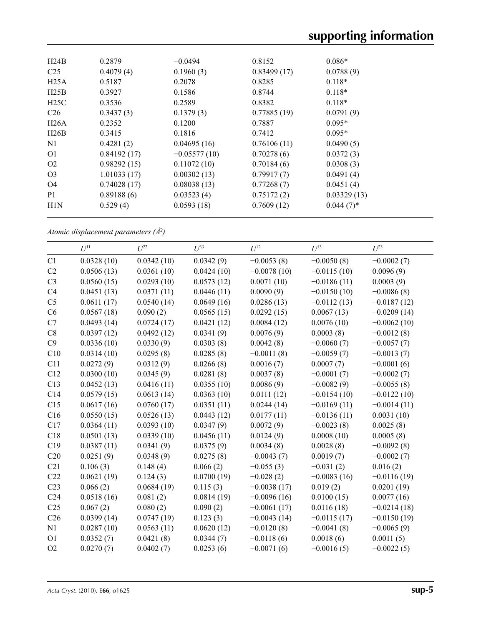| H24B              | 0.2879      | $-0.0494$      | 0.8152      | $0.086*$     |  |
|-------------------|-------------|----------------|-------------|--------------|--|
| C <sub>25</sub>   | 0.4079(4)   | 0.1960(3)      | 0.83499(17) | 0.0788(9)    |  |
| H25A              | 0.5187      | 0.2078         | 0.8285      | $0.118*$     |  |
| H25B              | 0.3927      | 0.1586         | 0.8744      | $0.118*$     |  |
| H25C              | 0.3536      | 0.2589         | 0.8382      | $0.118*$     |  |
| C <sub>26</sub>   | 0.3437(3)   | 0.1379(3)      | 0.77885(19) | 0.0791(9)    |  |
| H <sub>26</sub> A | 0.2352      | 0.1200         | 0.7887      | $0.095*$     |  |
| H26B              | 0.3415      | 0.1816         | 0.7412      | $0.095*$     |  |
| N1                | 0.4281(2)   | 0.04695(16)    | 0.76106(11) | 0.0490(5)    |  |
| O <sub>1</sub>    | 0.84192(17) | $-0.05577(10)$ | 0.70278(6)  | 0.0372(3)    |  |
| O <sub>2</sub>    | 0.98292(15) | 0.11072(10)    | 0.70184(6)  | 0.0308(3)    |  |
| O <sub>3</sub>    | 1.01033(17) | 0.00302(13)    | 0.79917(7)  | 0.0491(4)    |  |
| O <sub>4</sub>    | 0.74028(17) | 0.08038(13)    | 0.77268(7)  | 0.0451(4)    |  |
| P <sub>1</sub>    | 0.89188(6)  | 0.03523(4)     | 0.75172(2)  | 0.03329(13)  |  |
| H <sub>1</sub> N  | 0.529(4)    | 0.0593(18)     | 0.7609(12)  | $0.044(7)$ * |  |
|                   |             |                |             |              |  |

*Atomic displacement parameters (Å2 )*

|                 |            |            | $U^{33}$   |               |               |               |
|-----------------|------------|------------|------------|---------------|---------------|---------------|
|                 | $U^{11}$   | $L^{22}$   |            | $U^{12}$      | $U^{13}$      | $L^{23}$      |
| C1              | 0.0328(10) | 0.0342(10) | 0.0342(9)  | $-0.0053(8)$  | $-0.0050(8)$  | $-0.0002(7)$  |
| C2              | 0.0506(13) | 0.0361(10) | 0.0424(10) | $-0.0078(10)$ | $-0.0115(10)$ | 0.0096(9)     |
| C <sub>3</sub>  | 0.0560(15) | 0.0293(10) | 0.0573(12) | 0.0071(10)    | $-0.0186(11)$ | 0.0003(9)     |
| C4              | 0.0451(13) | 0.0371(11) | 0.0446(11) | 0.0090(9)     | $-0.0150(10)$ | $-0.0086(8)$  |
| C <sub>5</sub>  | 0.0611(17) | 0.0540(14) | 0.0649(16) | 0.0286(13)    | $-0.0112(13)$ | $-0.0187(12)$ |
| C6              | 0.0567(18) | 0.090(2)   | 0.0565(15) | 0.0292(15)    | 0.0067(13)    | $-0.0209(14)$ |
| C7              | 0.0493(14) | 0.0724(17) | 0.0421(12) | 0.0084(12)    | 0.0076(10)    | $-0.0062(10)$ |
| C8              | 0.0397(12) | 0.0492(12) | 0.0341(9)  | 0.0076(9)     | 0.0003(8)     | $-0.0012(8)$  |
| C9              | 0.0336(10) | 0.0330(9)  | 0.0303(8)  | 0.0042(8)     | $-0.0060(7)$  | $-0.0057(7)$  |
| C10             | 0.0314(10) | 0.0295(8)  | 0.0285(8)  | $-0.0011(8)$  | $-0.0059(7)$  | $-0.0013(7)$  |
| C11             | 0.0272(9)  | 0.0312(9)  | 0.0266(8)  | 0.0016(7)     | 0.0007(7)     | $-0.0001(6)$  |
| C12             | 0.0300(10) | 0.0345(9)  | 0.0281(8)  | 0.0037(8)     | $-0.0001(7)$  | $-0.0002(7)$  |
| C13             | 0.0452(13) | 0.0416(11) | 0.0355(10) | 0.0086(9)     | $-0.0082(9)$  | $-0.0055(8)$  |
| C14             | 0.0579(15) | 0.0613(14) | 0.0363(10) | 0.0111(12)    | $-0.0154(10)$ | $-0.0122(10)$ |
| C15             | 0.0617(16) | 0.0760(17) | 0.0351(11) | 0.0244(14)    | $-0.0169(11)$ | $-0.0014(11)$ |
| C16             | 0.0550(15) | 0.0526(13) | 0.0443(12) | 0.0177(11)    | $-0.0136(11)$ | 0.0031(10)    |
| C17             | 0.0364(11) | 0.0393(10) | 0.0347(9)  | 0.0072(9)     | $-0.0023(8)$  | 0.0025(8)     |
| C18             | 0.0501(13) | 0.0339(10) | 0.0456(11) | 0.0124(9)     | 0.0008(10)    | 0.0005(8)     |
| C19             | 0.0387(11) | 0.0341(9)  | 0.0375(9)  | 0.0034(8)     | 0.0028(8)     | $-0.0092(8)$  |
| C20             | 0.0251(9)  | 0.0348(9)  | 0.0275(8)  | $-0.0043(7)$  | 0.0019(7)     | $-0.0002(7)$  |
| C21             | 0.106(3)   | 0.148(4)   | 0.066(2)   | $-0.055(3)$   | $-0.031(2)$   | 0.016(2)      |
| C22             | 0.0621(19) | 0.124(3)   | 0.0700(19) | $-0.028(2)$   | $-0.0083(16)$ | $-0.0116(19)$ |
| C <sub>23</sub> | 0.066(2)   | 0.0684(19) | 0.115(3)   | $-0.0038(17)$ | 0.019(2)      | 0.0201(19)    |
| C <sub>24</sub> | 0.0518(16) | 0.081(2)   | 0.0814(19) | $-0.0096(16)$ | 0.0100(15)    | 0.0077(16)    |
| C <sub>25</sub> | 0.067(2)   | 0.080(2)   | 0.090(2)   | $-0.0061(17)$ | 0.0116(18)    | $-0.0214(18)$ |
| C <sub>26</sub> | 0.0399(14) | 0.0747(19) | 0.123(3)   | $-0.0043(14)$ | $-0.0115(17)$ | $-0.0150(19)$ |
| N1              | 0.0287(10) | 0.0563(11) | 0.0620(12) | $-0.0120(8)$  | $-0.0041(8)$  | $-0.0065(9)$  |
| O <sub>1</sub>  | 0.0352(7)  | 0.0421(8)  | 0.0344(7)  | $-0.0118(6)$  | 0.0018(6)     | 0.0011(5)     |
| O2              | 0.0270(7)  | 0.0402(7)  | 0.0253(6)  | $-0.0071(6)$  | $-0.0016(5)$  | $-0.0022(5)$  |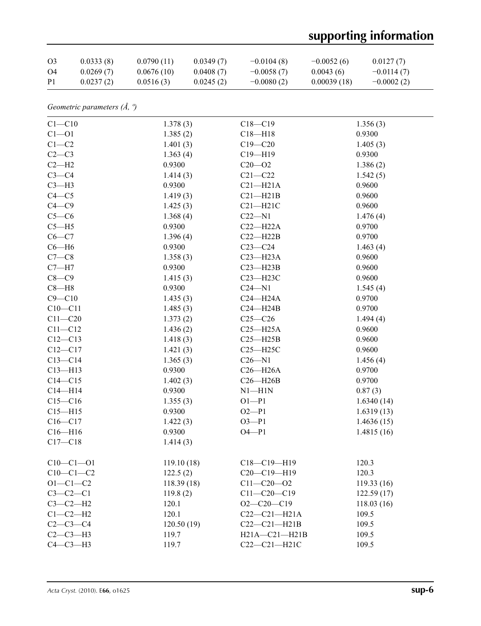# **supporting information**

| O <sub>3</sub> | 0.0333(8) | 0.0790(11) | 0.0349(7) | $-0.0104(8)$ | $-0.0052(6)$ | 0.0127(7)    |
|----------------|-----------|------------|-----------|--------------|--------------|--------------|
| O4             | 0.0269(7) | 0.0676(10) | 0.0408(7) | $-0.0058(7)$ | 0.0043(6)    | $-0.0114(7)$ |
| P <sub>1</sub> | 0.0237(2) | 0.0516(3)  | 0.0245(2) | $-0.0080(2)$ | 0.00039(18)  | $-0.0002(2)$ |

*Geometric parameters (Å, º)*

| $C1 - C10$     | 1.378(3)   | $C18 - C19$         | 1.356(3)   |
|----------------|------------|---------------------|------------|
| $C1 - 01$      | 1.385(2)   | $C18 - H18$         | 0.9300     |
| $C1-C2$        | 1.401(3)   | $C19 - C20$         | 1.405(3)   |
| $C2-C3$        | 1.363(4)   | $C19 - H19$         | 0.9300     |
| $C2-H2$        | 0.9300     | $C20 - 02$          | 1.386(2)   |
| $C3-C4$        | 1.414(3)   | $C21 - C22$         | 1.542(5)   |
| $C3-H3$        | 0.9300     | $C21 - H21A$        | 0.9600     |
| $C4 - C5$      | 1.419(3)   | $C21 - H21B$        | 0.9600     |
| $C4 - C9$      | 1.425(3)   | $C21 - H21C$        | 0.9600     |
| $C5-C6$        | 1.368(4)   | $C22 - N1$          | 1.476(4)   |
| $C5 - H5$      | 0.9300     | $C22-H22A$          | 0.9700     |
| $C6-C7$        | 1.396(4)   | $C22 - H22B$        | 0.9700     |
| $C6 - H6$      | 0.9300     | $C23-C24$           | 1.463(4)   |
| $C7-C8$        | 1.358(3)   | $C23 - H23A$        | 0.9600     |
| $C7 - H7$      | 0.9300     | $C23 - H23B$        | 0.9600     |
| $C8-C9$        | 1.415(3)   | C23-H23C            | 0.9600     |
| $C8 - H8$      | 0.9300     | $C24 - N1$          | 1.545(4)   |
| $C9 - C10$     | 1.435(3)   | $C24 - H24A$        | 0.9700     |
| $C10 - C11$    | 1.485(3)   | $C24 - H24B$        | 0.9700     |
| $C11 - C20$    | 1.373(2)   | $C25-C26$           | 1.494(4)   |
| $C11 - C12$    | 1.436(2)   | $C25 - H25A$        | 0.9600     |
| $C12 - C13$    | 1.418(3)   | $C25 - H25B$        | 0.9600     |
| $C12 - C17$    | 1.421(3)   | $C25 - H25C$        | 0.9600     |
| $C13 - C14$    | 1.365(3)   | $C26 - N1$          | 1.456(4)   |
| $C13 - H13$    | 0.9300     | $C26 - H26A$        | 0.9700     |
| $C14 - C15$    | 1.402(3)   | $C26 - H26B$        | 0.9700     |
| $C14 - H14$    | 0.9300     | $N1 - H1N$          | 0.87(3)    |
| $C15 - C16$    | 1.355(3)   | $O1 - P1$           | 1.6340(14) |
| $C15 - H15$    | 0.9300     | $O2 - P1$           | 1.6319(13) |
| $C16 - C17$    | 1.422(3)   | $O3 - P1$           | 1.4636(15) |
| $C16 - H16$    | 0.9300     | $O4 - P1$           | 1.4815(16) |
| $C17 - C18$    | 1.414(3)   |                     |            |
| $C10-C1-01$    | 119.10(18) | $C18 - C19 - H19$   | 120.3      |
| $C10-C1-C2$    | 122.5(2)   | $C20-C19-H19$       | 120.3      |
| $O1 - C1 - C2$ | 118.39(18) | $C11 - C20 - 02$    | 119.33(16) |
| $C3-C2-C1$     | 119.8(2)   | $C11 - C20 - C19$   | 122.59(17) |
| $C3-C2-H2$     | 120.1      | $O2 - C20 - C19$    | 118.03(16) |
| $C1-C2-H2$     | 120.1      | $C22-C21-H21A$      | 109.5      |
| $C2-C3-C4$     | 120.50(19) | $C22-C21-H21B$      | 109.5      |
| $C2-C3-H3$     | 119.7      | $H21A - C21 - H21B$ | 109.5      |
| $C4-C3-H3$     | 119.7      | $C22-C21-H21C$      | 109.5      |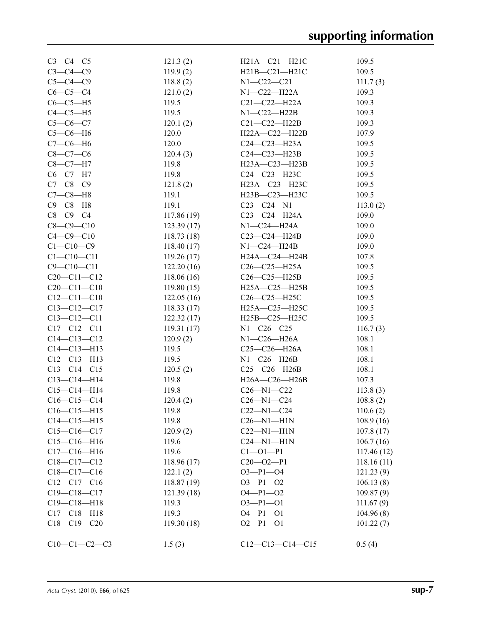| $C3-C4-C5$        | 121.3(2)   | $H21A - C21 - H21C$ | 109.5      |
|-------------------|------------|---------------------|------------|
| $C3-C4-C9$        | 119.9(2)   | $H21B - C21 - H21C$ | 109.5      |
| $C5 - C4 - C9$    | 118.8(2)   | $N1 - C22 - C21$    | 111.7(3)   |
| $C6-C5-C4$        | 121.0(2)   | N1-C22-H22A         | 109.3      |
| $C6-C5-H5$        | 119.5      | $C21-C22-H22A$      | 109.3      |
| $C4-C5-H5$        | 119.5      | $N1-C22-H22B$       | 109.3      |
| $C5 - C6 - C7$    | 120.1(2)   | $C21-C22-H22B$      | 109.3      |
| $C5-C6-H6$        | 120.0      | H22A-C22-H22B       | 107.9      |
| $C7-C6-H6$        | 120.0      | $C24 - C23 - H23A$  | 109.5      |
| $C8-C7-C6$        | 120.4(3)   | $C24-C23-H23B$      | 109.5      |
| $C8-C7-H7$        | 119.8      | $H23A - C23 - H23B$ | 109.5      |
| $C6 - C7 - H7$    | 119.8      | $C24 - C23 - H23C$  | 109.5      |
| $C7 - C8 - C9$    | 121.8(2)   | H23A-C23-H23C       | 109.5      |
| $C7-C8-H8$        | 119.1      | H23B-C23-H23C       | 109.5      |
| $C9-C8-H8$        | 119.1      | $C23-C24-N1$        | 113.0(2)   |
| $C8 - C9 - C4$    | 117.86(19) | $C23-C24-H24A$      | 109.0      |
| $C8 - C9 - C10$   | 123.39(17) | N1-C24-H24A         | 109.0      |
| $C4 - C9 - C10$   | 118.73(18) | $C23-C24-H24B$      | 109.0      |
| $C1 - C10 - C9$   | 118.40(17) | $N1-C24-H24B$       | 109.0      |
| $C1 - C10 - C11$  | 119.26(17) | H24A-C24-H24B       | 107.8      |
| $C9 - C10 - C11$  | 122.20(16) | $C26-C25-H25A$      | 109.5      |
| $C20 - C11 - C12$ | 118.06(16) | $C26-C25-H25B$      | 109.5      |
| $C20 - C11 - C10$ | 119.80(15) | $H25A - C25 - H25B$ | 109.5      |
| $C12 - C11 - C10$ | 122.05(16) | C26-C25-H25C        | 109.5      |
| $C13 - C12 - C17$ | 118.33(17) | H25A-C25-H25C       | 109.5      |
| $C13 - C12 - C11$ | 122.32(17) | H25B-C25-H25C       | 109.5      |
| $C17 - C12 - C11$ | 119.31(17) | $N1 - C26 - C25$    | 116.7(3)   |
| $C14 - C13 - C12$ | 120.9(2)   | N1-C26-H26A         | 108.1      |
| $C14 - C13 - H13$ | 119.5      | $C25 - C26 - H26A$  | 108.1      |
| $C12-C13-H13$     | 119.5      | $N1-C26-H26B$       | 108.1      |
| $C13 - C14 - C15$ | 120.5(2)   | $C25-C26-H26B$      | 108.1      |
| $C13-C14-H14$     | 119.8      | H26A-C26-H26B       | 107.3      |
| $C15-C14-H14$     | 119.8      | $C26 - N1 - C22$    | 113.8(3)   |
| $C16-C15-C14$     | 120.4(2)   | $C26 - N1 - C24$    | 108.8(2)   |
| $C16-C15-H15$     | 119.8      | $C22 - N1 - C24$    | 110.6(2)   |
| $C14 - C15 - H15$ | 119.8      | $C26 - N1 - H1N$    | 108.9 (16) |
| $C15-C16-C17$     | 120.9(2)   | $C22-M1-H1N$        | 107.8(17)  |
| $C15-C16-H16$     | 119.6      | $C24 - N1 - H1N$    | 106.7(16)  |
| $C17 - C16 - H16$ | 119.6      | $C1 - O1 - P1$      | 117.46(12) |
| $C18-C17-C12$     | 118.96(17) | $C20 - 02 - P1$     | 118.16(11) |
| $C18-C17-C16$     | 122.1(2)   | $O3 - P1 - O4$      | 121.23(9)  |
| $C12-C17-C16$     | 118.87(19) | $O3 - P1 - O2$      | 106.13(8)  |
| $C19 - C18 - C17$ | 121.39(18) | $O4 - P1 - O2$      | 109.87(9)  |
| $C19 - C18 - H18$ | 119.3      | $O3 - P1 - O1$      | 111.67(9)  |
| $C17 - C18 - H18$ | 119.3      | $O4 - P1 - O1$      | 104.96(8)  |
| $C18-C19-C20$     | 119.30(18) | $O2-P1-O1$          |            |
|                   |            |                     | 101.22(7)  |
| $C10-C1-C2-C3$    | 1.5(3)     | $C12-C13-C14-C15$   | 0.5(4)     |
|                   |            |                     |            |